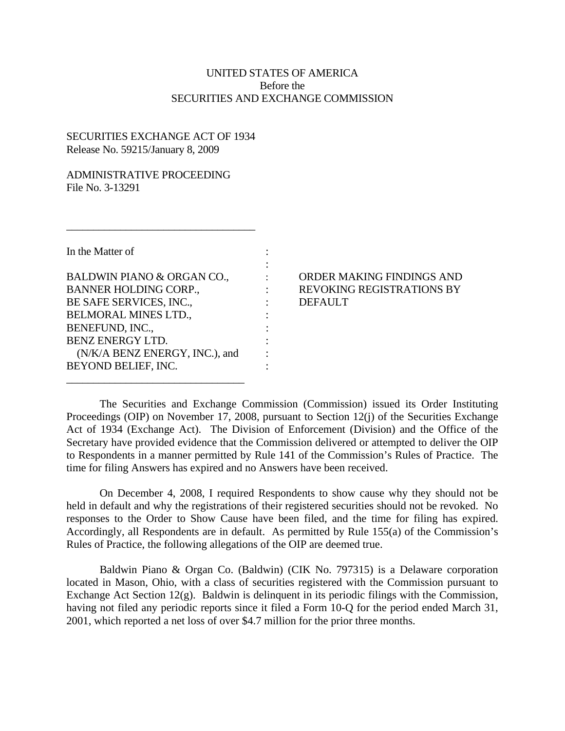## UNITED STATES OF AMERICA Before the SECURITIES AND EXCHANGE COMMISSION

## SECURITIES EXCHANGE ACT OF 1934 Release No. 59215/January 8, 2009

 $\_$ 

## ADMINISTRATIVE PROCEEDING File No. 3-13291

| In the Matter of               |  |
|--------------------------------|--|
|                                |  |
| BALDWIN PIANO & ORGAN CO.,     |  |
| <b>BANNER HOLDING CORP.,</b>   |  |
| BE SAFE SERVICES, INC.,        |  |
| <b>BELMORAL MINES LTD.,</b>    |  |
| BENEFUND, INC.,                |  |
| BENZ ENERGY LTD.               |  |
| (N/K/A BENZ ENERGY, INC.), and |  |
| BEYOND BELIEF, INC.            |  |

\_\_\_\_\_\_\_\_\_\_\_\_\_\_\_\_\_\_\_\_\_\_\_\_\_\_\_\_\_\_\_\_\_

## ORDER MAKING FINDINGS AND REVOKING REGISTRATIONS BY DEFAULT

The Securities and Exchange Commission (Commission) issued its Order Instituting Proceedings (OIP) on November 17, 2008, pursuant to Section 12(j) of the Securities Exchange Act of 1934 (Exchange Act). The Division of Enforcement (Division) and the Office of the Secretary have provided evidence that the Commission delivered or attempted to deliver the OIP to Respondents in a manner permitted by Rule 141 of the Commission's Rules of Practice. The time for filing Answers has expired and no Answers have been received.

On December 4, 2008, I required Respondents to show cause why they should not be held in default and why the registrations of their registered securities should not be revoked. No responses to the Order to Show Cause have been filed, and the time for filing has expired. Accordingly, all Respondents are in default. As permitted by Rule 155(a) of the Commission's Rules of Practice, the following allegations of the OIP are deemed true.

Baldwin Piano & Organ Co. (Baldwin) (CIK No. 797315) is a Delaware corporation located in Mason, Ohio, with a class of securities registered with the Commission pursuant to Exchange Act Section 12(g). Baldwin is delinquent in its periodic filings with the Commission, having not filed any periodic reports since it filed a Form 10-Q for the period ended March 31, 2001, which reported a net loss of over \$4.7 million for the prior three months.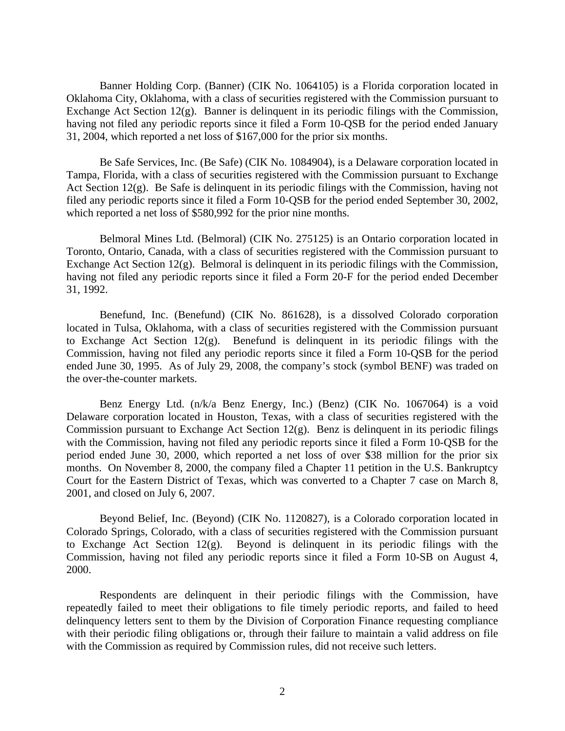Banner Holding Corp. (Banner) (CIK No. 1064105) is a Florida corporation located in Oklahoma City, Oklahoma, with a class of securities registered with the Commission pursuant to Exchange Act Section 12(g). Banner is delinquent in its periodic filings with the Commission, having not filed any periodic reports since it filed a Form 10-QSB for the period ended January 31, 2004, which reported a net loss of \$167,000 for the prior six months.

Be Safe Services, Inc. (Be Safe) (CIK No. 1084904), is a Delaware corporation located in Tampa, Florida, with a class of securities registered with the Commission pursuant to Exchange Act Section 12(g). Be Safe is delinquent in its periodic filings with the Commission, having not filed any periodic reports since it filed a Form 10-QSB for the period ended September 30, 2002, which reported a net loss of \$580,992 for the prior nine months.

Belmoral Mines Ltd. (Belmoral) (CIK No. 275125) is an Ontario corporation located in Toronto, Ontario, Canada, with a class of securities registered with the Commission pursuant to Exchange Act Section 12(g). Belmoral is delinquent in its periodic filings with the Commission, having not filed any periodic reports since it filed a Form 20-F for the period ended December 31, 1992.

Benefund, Inc. (Benefund) (CIK No. 861628), is a dissolved Colorado corporation located in Tulsa, Oklahoma, with a class of securities registered with the Commission pursuant to Exchange Act Section 12(g). Benefund is delinquent in its periodic filings with the Commission, having not filed any periodic reports since it filed a Form 10-QSB for the period ended June 30, 1995. As of July 29, 2008, the company's stock (symbol BENF) was traded on the over-the-counter markets.

Benz Energy Ltd. (n/k/a Benz Energy, Inc.) (Benz) (CIK No. 1067064) is a void Delaware corporation located in Houston, Texas, with a class of securities registered with the Commission pursuant to Exchange Act Section 12(g). Benz is delinquent in its periodic filings with the Commission, having not filed any periodic reports since it filed a Form 10-QSB for the period ended June 30, 2000, which reported a net loss of over \$38 million for the prior six months. On November 8, 2000, the company filed a Chapter 11 petition in the U.S. Bankruptcy Court for the Eastern District of Texas, which was converted to a Chapter 7 case on March 8, 2001, and closed on July 6, 2007.

Beyond Belief, Inc. (Beyond) (CIK No. 1120827), is a Colorado corporation located in Colorado Springs, Colorado, with a class of securities registered with the Commission pursuant to Exchange Act Section 12(g). Beyond is delinquent in its periodic filings with the Commission, having not filed any periodic reports since it filed a Form 10-SB on August 4, 2000.

Respondents are delinquent in their periodic filings with the Commission, have repeatedly failed to meet their obligations to file timely periodic reports, and failed to heed delinquency letters sent to them by the Division of Corporation Finance requesting compliance with their periodic filing obligations or, through their failure to maintain a valid address on file with the Commission as required by Commission rules, did not receive such letters.